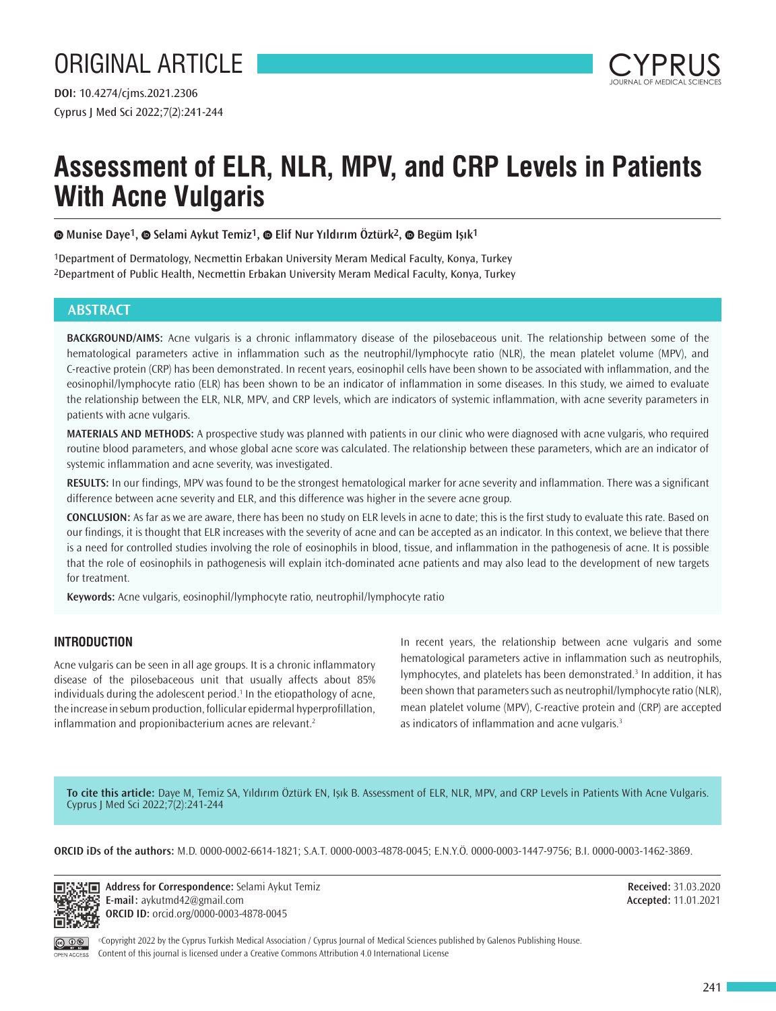

# **Assessment of ELR, NLR, MPV, and CRP Levels in Patients With Acne Vulgaris**

**Munise Daye1,Selami Aykut Temiz1,Elif Nur Yıldırım Öztürk2,Begüm Işık1**

1Department of Dermatology, Necmettin Erbakan University Meram Medical Faculty, Konya, Turkey 2Department of Public Health, Necmettin Erbakan University Meram Medical Faculty, Konya, Turkey

# **ABSTRACT**

**BACKGROUND/AIMS:** Acne vulgaris is a chronic inflammatory disease of the pilosebaceous unit. The relationship between some of the hematological parameters active in inflammation such as the neutrophil/lymphocyte ratio (NLR), the mean platelet volume (MPV), and C-reactive protein (CRP) has been demonstrated. In recent years, eosinophil cells have been shown to be associated with inflammation, and the eosinophil/lymphocyte ratio (ELR) has been shown to be an indicator of inflammation in some diseases. In this study, we aimed to evaluate the relationship between the ELR, NLR, MPV, and CRP levels, which are indicators of systemic inflammation, with acne severity parameters in patients with acne vulgaris.

**MATERIALS AND METHODS:** A prospective study was planned with patients in our clinic who were diagnosed with acne vulgaris, who required routine blood parameters, and whose global acne score was calculated. The relationship between these parameters, which are an indicator of systemic inflammation and acne severity, was investigated.

**RESULTS:** In our findings, MPV was found to be the strongest hematological marker for acne severity and inflammation. There was a significant difference between acne severity and ELR, and this difference was higher in the severe acne group.

**CONCLUSION:** As far as we are aware, there has been no study on ELR levels in acne to date; this is the first study to evaluate this rate. Based on our findings, it is thought that ELR increases with the severity of acne and can be accepted as an indicator. In this context, we believe that there is a need for controlled studies involving the role of eosinophils in blood, tissue, and inflammation in the pathogenesis of acne. It is possible that the role of eosinophils in pathogenesis will explain itch-dominated acne patients and may also lead to the development of new targets for treatment.

**Keywords:** Acne vulgaris, eosinophil/lymphocyte ratio, neutrophil/lymphocyte ratio

# **INTRODUCTION**

Acne vulgaris can be seen in all age groups. It is a chronic inflammatory disease of the pilosebaceous unit that usually affects about 85% individuals during the adolescent period.<sup>1</sup> In the etiopathology of acne, the increase in sebum production, follicular epidermal hyperprofillation, inflammation and propionibacterium acnes are relevant.<sup>2</sup>

In recent years, the relationship between acne vulgaris and some hematological parameters active in inflammation such as neutrophils, lymphocytes, and platelets has been demonstrated.<sup>3</sup> In addition, it has been shown that parameters such as neutrophil/lymphocyte ratio (NLR), mean platelet volume (MPV), C-reactive protein and (CRP) are accepted as indicators of inflammation and acne vulgaris.<sup>3</sup>

**To cite this article:** Daye M, Temiz SA, Yıldırım Öztürk EN, Işık B. Assessment of ELR, NLR, MPV, and CRP Levels in Patients With Acne Vulgaris. Cyprus J Med Sci 2022;7(2):241-244

**ORCID iDs of the authors:** M.D. 0000-0002-6614-1821; S.A.T. 0000-0003-4878-0045; E.N.Y.Ö. 0000-0003-1447-9756; B.I. 0000-0003-1462-3869.



**Address for Correspondence:** Selami Aykut Temiz **E-mail:** aykutmd42@gmail.com **ORCID ID:** orcid.org/0000-0003-4878-0045

**Received:** 31.03.2020 **Accepted:** 11.01.2021

OPEN ACCESS

©Copyright 2022 by the Cyprus Turkish Medical Association / Cyprus Journal of Medical Sciences published by Galenos Publishing House. Content of this journal is licensed under a Creative Commons Attribution 4.0 International License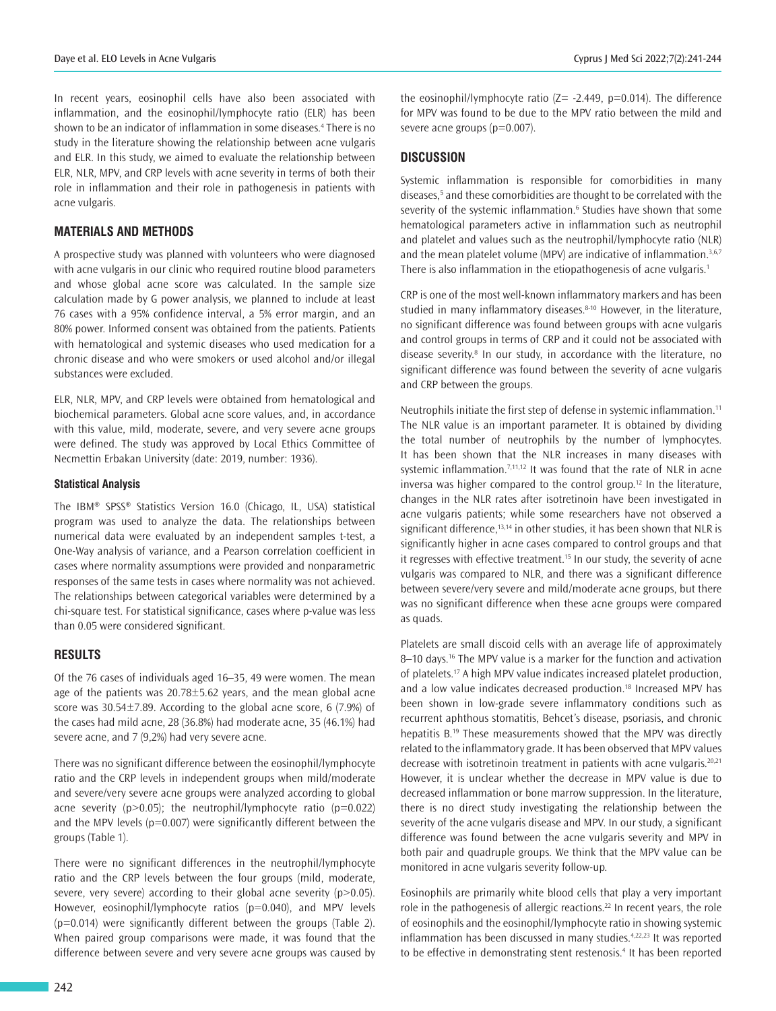In recent years, eosinophil cells have also been associated with inflammation, and the eosinophil/lymphocyte ratio (ELR) has been shown to be an indicator of inflammation in some diseases.<sup>4</sup> There is no study in the literature showing the relationship between acne vulgaris and ELR. In this study, we aimed to evaluate the relationship between ELR, NLR, MPV, and CRP levels with acne severity in terms of both their role in inflammation and their role in pathogenesis in patients with acne vulgaris.

## **MATERIALS AND METHODS**

A prospective study was planned with volunteers who were diagnosed with acne vulgaris in our clinic who required routine blood parameters and whose global acne score was calculated. In the sample size calculation made by G power analysis, we planned to include at least 76 cases with a 95% confidence interval, a 5% error margin, and an 80% power. Informed consent was obtained from the patients. Patients with hematological and systemic diseases who used medication for a chronic disease and who were smokers or used alcohol and/or illegal substances were excluded.

ELR, NLR, MPV, and CRP levels were obtained from hematological and biochemical parameters. Global acne score values, and, in accordance with this value, mild, moderate, severe, and very severe acne groups were defined. The study was approved by Local Ethics Committee of Necmettin Erbakan University (date: 2019, number: 1936).

#### **Statistical Analysis**

The IBM® SPSS® Statistics Version 16.0 (Chicago, IL, USA) statistical program was used to analyze the data. The relationships between numerical data were evaluated by an independent samples t-test, a One-Way analysis of variance, and a Pearson correlation coefficient in cases where normality assumptions were provided and nonparametric responses of the same tests in cases where normality was not achieved. The relationships between categorical variables were determined by a chi-square test. For statistical significance, cases where p-value was less than 0.05 were considered significant.

## **RESULTS**

Of the 76 cases of individuals aged 16–35, 49 were women. The mean age of the patients was 20.78±5.62 years, and the mean global acne score was 30.54±7.89. According to the global acne score, 6 (7.9%) of the cases had mild acne, 28 (36.8%) had moderate acne, 35 (46.1%) had severe acne, and 7 (9,2%) had very severe acne.

There was no significant difference between the eosinophil/lymphocyte ratio and the CRP levels in independent groups when mild/moderate and severe/very severe acne groups were analyzed according to global acne severity ( $p > 0.05$ ); the neutrophil/lymphocyte ratio ( $p = 0.022$ ) and the MPV levels ( $p=0.007$ ) were significantly different between the groups (Table 1).

There were no significant differences in the neutrophil/lymphocyte ratio and the CRP levels between the four groups (mild, moderate, severe, very severe) according to their global acne severity  $(p>0.05)$ . However, eosinophil/lymphocyte ratios (p=0.040), and MPV levels (p=0.014) were significantly different between the groups (Table 2). When paired group comparisons were made, it was found that the difference between severe and very severe acne groups was caused by

the eosinophil/lymphocyte ratio  $(Z= -2.449, p=0.014)$ . The difference for MPV was found to be due to the MPV ratio between the mild and severe acne groups (p=0.007).

## **DISCUSSION**

Systemic inflammation is responsible for comorbidities in many diseases,<sup>5</sup> and these comorbidities are thought to be correlated with the severity of the systemic inflammation.<sup>6</sup> Studies have shown that some hematological parameters active in inflammation such as neutrophil and platelet and values such as the neutrophil/lymphocyte ratio (NLR) and the mean platelet volume (MPV) are indicative of inflammation.<sup>3,6,7</sup> There is also inflammation in the etiopathogenesis of acne vulgaris.<sup>1</sup>

CRP is one of the most well-known inflammatory markers and has been studied in many inflammatory diseases.<sup>8-10</sup> However, in the literature, no significant difference was found between groups with acne vulgaris and control groups in terms of CRP and it could not be associated with disease severity.<sup>8</sup> In our study, in accordance with the literature, no significant difference was found between the severity of acne vulgaris and CRP between the groups.

Neutrophils initiate the first step of defense in systemic inflammation.<sup>11</sup> The NLR value is an important parameter. It is obtained by dividing the total number of neutrophils by the number of lymphocytes. It has been shown that the NLR increases in many diseases with systemic inflammation.<sup>7,11,12</sup> It was found that the rate of NLR in acne inversa was higher compared to the control group.<sup>12</sup> In the literature, changes in the NLR rates after isotretinoin have been investigated in acne vulgaris patients; while some researchers have not observed a significant difference,<sup>13,14</sup> in other studies, it has been shown that NLR is significantly higher in acne cases compared to control groups and that it regresses with effective treatment.<sup>15</sup> In our study, the severity of acne vulgaris was compared to NLR, and there was a significant difference between severe/very severe and mild/moderate acne groups, but there was no significant difference when these acne groups were compared as quads.

Platelets are small discoid cells with an average life of approximately 8-10 days.<sup>16</sup> The MPV value is a marker for the function and activation of platelets.<sup>17</sup> A high MPV value indicates increased platelet production, and a low value indicates decreased production.<sup>18</sup> Increased MPV has been shown in low-grade severe inflammatory conditions such as recurrent aphthous stomatitis, Behcet's disease, psoriasis, and chronic hepatitis B.<sup>19</sup> These measurements showed that the MPV was directly related to the inflammatory grade. It has been observed that MPV values decrease with isotretinoin treatment in patients with acne vulgaris.<sup>20,21</sup> However, it is unclear whether the decrease in MPV value is due to decreased inflammation or bone marrow suppression. In the literature, there is no direct study investigating the relationship between the severity of the acne vulgaris disease and MPV. In our study, a significant difference was found between the acne vulgaris severity and MPV in both pair and quadruple groups. We think that the MPV value can be monitored in acne vulgaris severity follow-up.

Eosinophils are primarily white blood cells that play a very important role in the pathogenesis of allergic reactions.<sup>22</sup> In recent years, the role of eosinophils and the eosinophil/lymphocyte ratio in showing systemic inflammation has been discussed in many studies.<sup>4,22,23</sup> It was reported to be effective in demonstrating stent restenosis.<sup>4</sup> It has been reported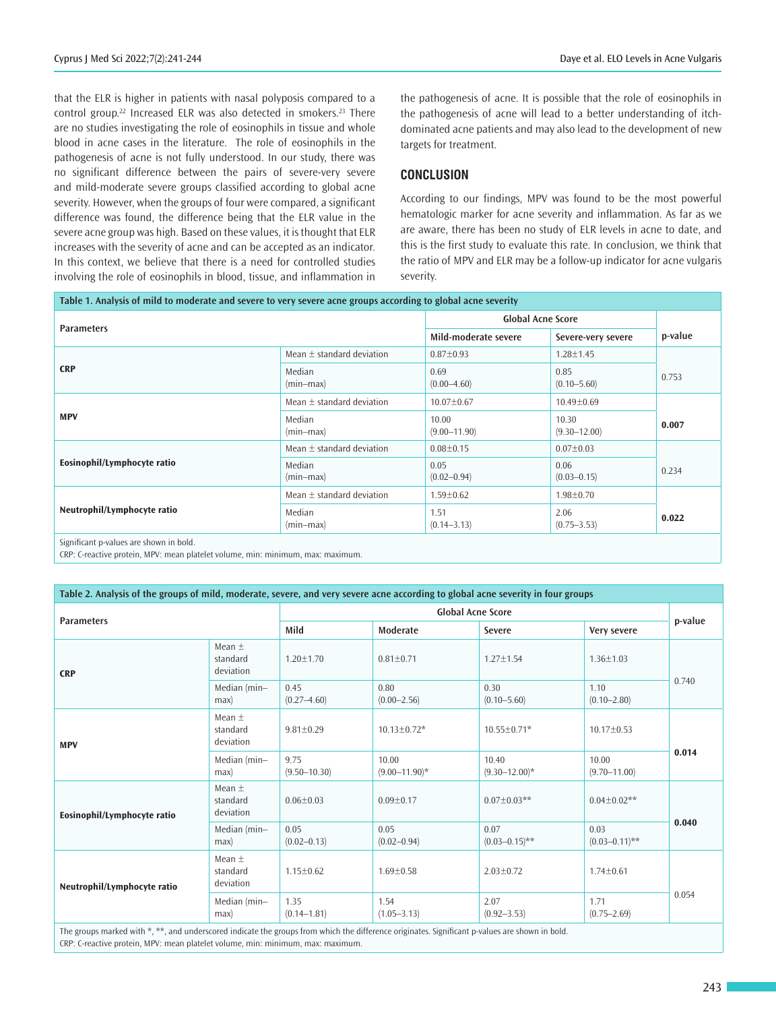that the ELR is higher in patients with nasal polyposis compared to a control group.<sup>22</sup> Increased ELR was also detected in smokers.<sup>23</sup> There are no studies investigating the role of eosinophils in tissue and whole blood in acne cases in the literature. The role of eosinophils in the pathogenesis of acne is not fully understood. In our study, there was no significant difference between the pairs of severe-very severe and mild-moderate severe groups classified according to global acne severity. However, when the groups of four were compared, a significant difference was found, the difference being that the ELR value in the severe acne group was high. Based on these values, it is thought that ELR increases with the severity of acne and can be accepted as an indicator. In this context, we believe that there is a need for controlled studies involving the role of eosinophils in blood, tissue, and inflammation in

the pathogenesis of acne. It is possible that the role of eosinophils in the pathogenesis of acne will lead to a better understanding of itchdominated acne patients and may also lead to the development of new targets for treatment.

## **CONCLUSION**

According to our findings, MPV was found to be the most powerful hematologic marker for acne severity and inflammation. As far as we are aware, there has been no study of ELR levels in acne to date, and this is the first study to evaluate this rate. In conclusion, we think that the ratio of MPV and ELR may be a follow-up indicator for acne vulgaris severity.

| Table 1. Analysis of mild to moderate and severe to very severe acne groups according to global acne severity |                               |                           |                           |         |  |  |  |  |  |
|---------------------------------------------------------------------------------------------------------------|-------------------------------|---------------------------|---------------------------|---------|--|--|--|--|--|
| <b>Parameters</b>                                                                                             |                               | <b>Global Acne Score</b>  |                           |         |  |  |  |  |  |
|                                                                                                               |                               | Mild-moderate severe      | Severe-very severe        | p-value |  |  |  |  |  |
| <b>CRP</b>                                                                                                    | Mean $\pm$ standard deviation | $0.87 \pm 0.93$           | $1.28 \pm 1.45$           |         |  |  |  |  |  |
|                                                                                                               | Median<br>$(min-max)$         | 0.69<br>$(0.00 - 4.60)$   | 0.85<br>$(0.10 - 5.60)$   | 0.753   |  |  |  |  |  |
| <b>MPV</b>                                                                                                    | Mean $\pm$ standard deviation | $10.07 \pm 0.67$          | $10.49 \pm 0.69$          |         |  |  |  |  |  |
|                                                                                                               | Median<br>$(min-max)$         | 10.00<br>$(9.00 - 11.90)$ | 10.30<br>$(9.30 - 12.00)$ | 0.007   |  |  |  |  |  |
| Eosinophil/Lymphocyte ratio                                                                                   | Mean $\pm$ standard deviation | $0.08 \pm 0.15$           | $0.07 \pm 0.03$           |         |  |  |  |  |  |
|                                                                                                               | Median<br>$(min-max)$         | 0.05<br>$(0.02 - 0.94)$   | 0.06<br>$(0.03 - 0.15)$   | 0.234   |  |  |  |  |  |
| Neutrophil/Lymphocyte ratio                                                                                   | Mean $\pm$ standard deviation | $1.59 \pm 0.62$           | $1.98 \pm 0.70$           |         |  |  |  |  |  |
|                                                                                                               | Median<br>$(min-max)$         | 1.51<br>$(0.14 - 3.13)$   | 2.06<br>$(0.75 - 3.53)$   | 0.022   |  |  |  |  |  |
| Significant p-values are shown in bold.                                                                       |                               |                           |                           |         |  |  |  |  |  |

CRP: C-reactive protein, MPV: mean platelet volume, min: minimum, max: maximum.

| Table 2. Analysis of the groups of mild, moderate, severe, and very severe acne according to global acne severity in four groups              |                                     |                          |                             |                             |                            |         |  |  |  |
|-----------------------------------------------------------------------------------------------------------------------------------------------|-------------------------------------|--------------------------|-----------------------------|-----------------------------|----------------------------|---------|--|--|--|
| <b>Parameters</b>                                                                                                                             |                                     | <b>Global Acne Score</b> |                             |                             |                            |         |  |  |  |
|                                                                                                                                               |                                     | Mild                     | Moderate                    | Severe                      | Very severe                | p-value |  |  |  |
| <b>CRP</b>                                                                                                                                    | Mean $\pm$<br>standard<br>deviation | $1.20 \pm 1.70$          | $0.81 \pm 0.71$             | $1.27 \pm 1.54$             | $1.36 \pm 1.03$            | 0.740   |  |  |  |
|                                                                                                                                               | Median (min-<br>max                 | 0.45<br>$(0.27 - 4.60)$  | 0.80<br>$(0.00 - 2.56)$     | 0.30<br>$(0.10 - 5.60)$     | 1.10<br>$(0.10 - 2.80)$    |         |  |  |  |
| <b>MPV</b>                                                                                                                                    | Mean $\pm$<br>standard<br>deviation | $9.81 \pm 0.29$          | $10.13 \pm 0.72*$           | 10.55±0.71*                 | $10.17 \pm 0.53$           | 0.014   |  |  |  |
|                                                                                                                                               | Median (min-<br>max                 | 9.75<br>$(9.50 - 10.30)$ | 10.00<br>$(9.00 - 11.90)^*$ | 10.40<br>$(9.30 - 12.00)^*$ | 10.00<br>$(9.70 - 11.00)$  |         |  |  |  |
| Eosinophil/Lymphocyte ratio                                                                                                                   | Mean $\pm$<br>standard<br>deviation | $0.06 \pm 0.03$          | $0.09 \pm 0.17$             | $0.07 \pm 0.03**$           | $0.04 \pm 0.02$ **         | 0.040   |  |  |  |
|                                                                                                                                               | Median (min-<br>max                 | 0.05<br>$(0.02 - 0.13)$  | 0.05<br>$(0.02 - 0.94)$     | 0.07<br>$(0.03 - 0.15)$ **  | 0.03<br>$(0.03 - 0.11)$ ** |         |  |  |  |
| Neutrophil/Lymphocyte ratio                                                                                                                   | Mean $\pm$<br>standard<br>deviation | $1.15 \pm 0.62$          | $1.69 \pm 0.58$             | $2.03 \pm 0.72$             | $1.74 \pm 0.61$            | 0.054   |  |  |  |
|                                                                                                                                               | Median (min-<br>max                 | 1.35<br>$(0.14 - 1.81)$  | 1.54<br>$(1.05 - 3.13)$     | 2.07<br>$(0.92 - 3.53)$     | 1.71<br>$(0.75 - 2.69)$    |         |  |  |  |
| The groups marked with $***$ and underscored indicate the groups from which the difference originates. Significant n-values are shown in hold |                                     |                          |                             |                             |                            |         |  |  |  |

The groups marked with \*, \*\*, and underscored indicate the groups from which the difference originates. Significant p-values are shown in bold. CRP: C-reactive protein, MPV: mean platelet volume, min: minimum, max: maximum.